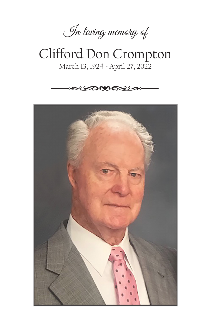

## Clifford Don Crompton March 13, 1924 - April 27, 2022



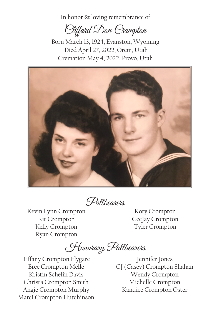In honor & loving remembrance of

Clifford Don Crompton

Born March 13, 1924, Evanston, Wyoming Died April 27, 2022, Orem, Utah Cremation May 4, 2022, Provo, Utah



Pallbearers

Kevin Lynn Crompton Kit Crompton Kelly Crompton Ryan Crompton

Kory Crompton CeeJay Crompton Tyler Crompton

Honorary Pallbearers

Tiffany Crompton Flygare Bree Crompton Melle Kristin Schelin Davis Christa Crompton Smith Angie Crompton Murphy Marci Crompton Hutchinson

Jennifer Jones CJ (Casey) Crompton Shahan Wendy Crompton Michelle Crompton Kandice Crompton Oster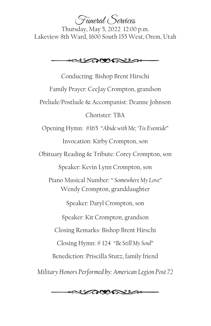Funeral Services

Thursday, May 5, 2022 12:00 p.m. Lakeview 8th Ward, 1600 South 155 West, Orem, Utah



Conducting: Bishop Brent Hirschi Family Prayer: CeeJay Crompton, grandson Prelude/Postlude & Accompanist: Deanne Johnson Chorister: TBA Opening Hymn: #165 "*Abide with Me; 'Tis Eventide*" Invocation: Kirby Crompton, son Obituary Reading & Tribute: Corey Crompton, son Speaker: Kevin Lynn Crompton, son Piano Musical Number: " *Somewhere My Love*" Wendy Crompton, granddaughter Speaker: Daryl Crompton, son Speaker: Kit Crompton, grandson Closing Remarks: Bishop Brent Hirschi Closing Hymn: # 124 "*Be Still My Soul*" Benediction: Priscilla Stutz, family friend *Military Honors Performed by: American Legion Post 72*